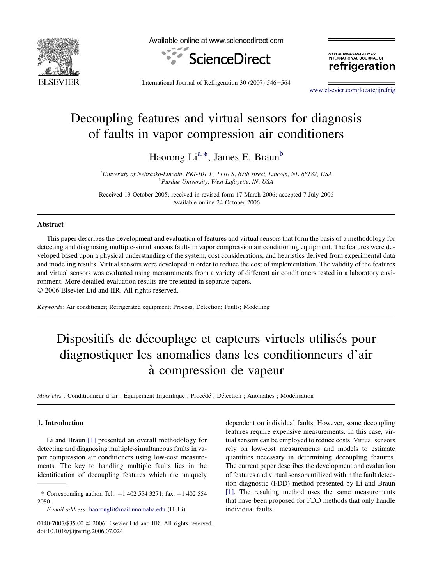

Available online at www.sciencedirect.com



.<br>Evue internationale du froic INTERNATIONAL JOURNAL OF refrigeration

International Journal of Refrigeration 30  $(2007)$  546-564

[www.elsevier.com/locate/ijrefrig](http://www.elsevier.com/locate/ijrefrig)

## Decoupling features and virtual sensors for diagnosis of faults in vapor compression air conditioners

Haorong Li<sup>a,\*</sup>, James E. Braun<sup>b</sup>

<sup>a</sup>University of Nebraska-Lincoln, PKI-101 F, 1110 S, 67th street, Lincoln, NE 68182, USA<br><sup>b</sup>Purdua University West Lafayetta IN USA <sup>b</sup>Purdue University, West Lafayette, IN, USA

Received 13 October 2005; received in revised form 17 March 2006; accepted 7 July 2006 Available online 24 October 2006

## Abstract

This paper describes the development and evaluation of features and virtual sensors that form the basis of a methodology for detecting and diagnosing multiple-simultaneous faults in vapor compression air conditioning equipment. The features were developed based upon a physical understanding of the system, cost considerations, and heuristics derived from experimental data and modeling results. Virtual sensors were developed in order to reduce the cost of implementation. The validity of the features and virtual sensors was evaluated using measurements from a variety of different air conditioners tested in a laboratory environment. More detailed evaluation results are presented in separate papers.

 $© 2006 Elsevier Ltd and IIR. All rights reserved.$ 

Keywords: Air conditioner; Refrigerated equipment; Process; Detection; Faults; Modelling

# Dispositifs de découplage et capteurs virtuels utilisés pour diagnostiquer les anomalies dans les conditionneurs d'air a` compression de vapeur

Mots clés : Conditionneur d'air ; Équipement frigorifique ; Procédé ; Détection ; Anomalies ; Modélisation

### 1. Introduction

Li and Braun [\[1\]](#page-17-0) presented an overall methodology for detecting and diagnosing multiple-simultaneous faults in vapor compression air conditioners using low-cost measurements. The key to handling multiple faults lies in the identification of decoupling features which are uniquely

\* Corresponding author. Tel.:  $+1$  402 554 3271; fax:  $+1$  402 554 2080.

E-mail address: [haorongli@mail.unomaha.edu](mailto:haorongli@mail.unomaha.edu) (H. Li).

dependent on individual faults. However, some decoupling features require expensive measurements. In this case, virtual sensors can be employed to reduce costs. Virtual sensors rely on low-cost measurements and models to estimate quantities necessary in determining decoupling features. The current paper describes the development and evaluation of features and virtual sensors utilized within the fault detection diagnostic (FDD) method presented by Li and Braun [\[1\]](#page-17-0). The resulting method uses the same measurements that have been proposed for FDD methods that only handle individual faults.

 $0140$ -7007/\$35.00  $\odot$  2006 Elsevier Ltd and IIR. All rights reserved. doi:10.1016/j.ijrefrig.2006.07.024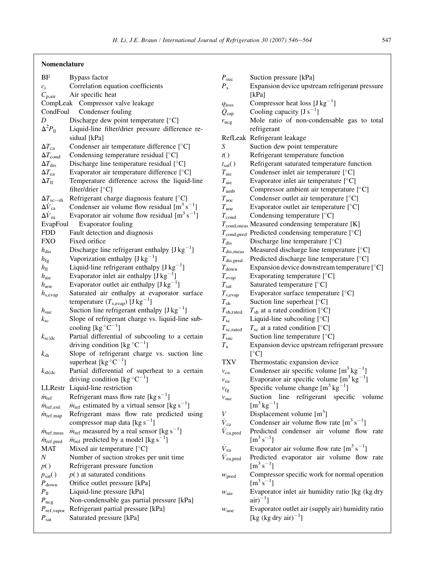## Nomenclature

| BF                           | <b>Bypass factor</b>                                                       |
|------------------------------|----------------------------------------------------------------------------|
| $c_i$                        | Correlation equation coefficients                                          |
| $C_{\rm p, air}$             | Air specific heat                                                          |
|                              | CompLeak Compressor valve leakage                                          |
| CondFoul                     | Condenser fouling                                                          |
| D                            | Discharge dew point temperature [°C]                                       |
| $\Delta^2 P_{\rm II}$        | Liquid-line filter/drier pressure difference re-                           |
|                              | sidual [kPa]                                                               |
| $\Delta T_{\rm ca}$          | Condenser air temperature difference [°C]                                  |
| $\Delta T_{\rm cond}$        | Condensing temperature residual [°C]                                       |
| $\Delta T_{\rm dis}$         | Discharge line temperature residual [°C]                                   |
| $\Delta T_{\rm ea}$          | Evaporator air temperature difference [°C]                                 |
| $\Delta T_{\rm ll}$          | Temperature difference across the liquid-line                              |
|                              | filter/drier $[^{\circ}C]$                                                 |
| $\Delta T_{\rm sc-sh}$       | Refrigerant charge diagnosis feature [°C]                                  |
| $\Delta V_{\rm ca}$          | Condenser air volume flow residual $[m^3 s^{-1}]$                          |
| $\Delta V_{\rm ea}$          | Evaporator air volume flow residual $[m^3 s^{-1}]$                         |
| EvapFoul                     | Evaporator fouling                                                         |
| FDD                          | Fault detection and diagnosis                                              |
| FXO                          | Fixed orifice                                                              |
| $h_{\rm dis}$                | Discharge line refrigerant enthalpy $[J kg^{-1}]$                          |
| $h_{\text{fg}}$              | Vaporization enthalpy $[J kg^{-1}]$                                        |
| $h_{\rm ll}$                 | Liquid-line refrigerant enthalpy $[Jkg^{-1}]$                              |
| $h_{\text{aie}}$             | Evaporator inlet air enthalpy $[J kg^{-1}]$                                |
| $h_{\text{aoe}}$             | Evaporator outlet air enthalpy $[J kg^{-1}]$                               |
| $h_{\rm s, evap}$            | Saturated air enthalpy at evaporator surface                               |
|                              | temperature $(T_{\text{s,evap}})$ [J kg <sup>-1</sup> ]                    |
| $h_{\rm suc}$                | Suction line refrigerant enthalpy $[J kg^{-1}]$                            |
| $k_{\rm sc}$                 | Slope of refrigerant charge vs. liquid-line sub-                           |
|                              | cooling [kg $\mathrm{C}^{-1}$ ]                                            |
| $k_{\rm sc dc}$              | Partial differential of subcooling to a certain                            |
|                              | driving condition [kg $^{\circ}$ C <sup>-1</sup> ]                         |
| $k_{\rm sh}$                 | Slope of refrigerant charge vs. suction line                               |
|                              | superheat [kg $\mathrm{C}^{-1}$ ]                                          |
| $k_{\rm sh dc}$              | Partial differential of superheat to a certain                             |
|                              | driving condition [kg $^{\circ}$ C <sup>-1</sup> ]                         |
| LLRestr                      | Liquid-line restriction                                                    |
| $\dot{m}_{\text{ref}}$       | Refrigerant mass flow rate [kg $s^{-1}$ ]                                  |
| $\dot{m}_{\rm ref, esti}$    | $\dot{m}_{\text{ref}}$ estimated by a virtual sensor [kg s <sup>-1</sup> ] |
| $m_{\text{ref}, \text{map}}$ | Refrigerant mass flow rate predicted using                                 |
|                              | compressor map data [ $kg s^{-1}$ ]                                        |
| $\dot{m}_{\text{ref,meas}}$  | $\dot{m}_{\text{ref}}$ measured by a real sensor [kg s <sup>-1</sup> ]     |
| $\dot{m}_{\text{ref,pred}}$  | $\dot{m}_{\text{ref}}$ predicted by a model [kg s <sup>-1</sup> ]          |
| MAT                          | Mixed air temperature [°C]                                                 |
| Ν                            | Number of suction strokes per unit time                                    |
| p()                          | Refrigerant pressure function                                              |
| $p_{\text{sat}}()$           | $p()$ at saturated conditions                                              |
| $P_{\text{down}}$            | Orifice outlet pressure [kPa]                                              |
| $P_{\rm 11}$                 | Liquid-line pressure [kPa]                                                 |
| $P_{\text{ncg}}$             | Non-condensable gas partial pressure [kPa]                                 |
| $P_{\text{ref,vapor}}$       | Refrigerant partial pressure [kPa]                                         |
| $P_{\rm sat}$                | Saturated pressure [kPa]                                                   |
|                              |                                                                            |

| $P_{\rm suc}$            | Suction pressure [kPa]                                                                |
|--------------------------|---------------------------------------------------------------------------------------|
| $P_{\rm x}$              | Expansion device upstream refrigerant pressure                                        |
|                          | [kPa]                                                                                 |
| $q_{\rm loss}$           | Compressor heat loss $[J kg^{-1}]$                                                    |
| $Q_{\text{cap}}$         | Cooling capacity $[J s^{-1}]$                                                         |
| $r_{\text{ncg}}$         | Mole ratio of non-condensable gas<br>to total                                         |
|                          | refrigerant                                                                           |
|                          | RefLeak Refrigerant leakage                                                           |
| S                        | Suction dew point temperature                                                         |
| t()                      | Refrigerant temperature function                                                      |
| $t_{\text{sat}}()$       | Refrigerant saturated temperature function                                            |
| $T_{\rm{aic}}$           | Condenser inlet air temperature [°C]                                                  |
| $T_{\rm aie}$            | Evaporator inlet air temperature [°C]                                                 |
| $T_{\rm amb}$            | Compressor ambient air temperature [°C]                                               |
| $T_{\text{aoc}}$         | Condenser outlet air temperature [°C]                                                 |
| $T_{\text{aoe}}$         | Evaporator outlet air temperature [°C]                                                |
| $T_{\rm cond}$           | Condensing temperature [°C]                                                           |
|                          | $T_{\text{cond,meas}}$ Measured condensing temperature [K]                            |
| $T_{\rm cond, pred}$     | Predicted condensing temperature [°C]                                                 |
| $T_{\rm dis}$            | Discharge line temperature [°C]                                                       |
| $T_{\rm dis, meas}$      | Measured discharge line temperature [°C]                                              |
| $T_{\rm dis,pred}$       | Predicted discharge line temperature [°C]                                             |
| $T_{\text{down}}$        | Expansion device downstream temperature [°C]                                          |
| $T_{\rm evap}$           | Evaporating temperature [°C]                                                          |
| $T_{\rm sat}$            | Saturated temperature [°C]                                                            |
| $T_{\rm s, evap}$        | Evaporator surface temperature [°C]                                                   |
| $T_{\rm sh}$             | Suction line superheat [°C]                                                           |
| $T_{\mathrm{sh,rated}}$  | $T_{\rm sh}$ at a rated condition [°C]                                                |
| $T_{\rm sc}$             | Liquid-line subcooling $[°C]$                                                         |
| $T_{\rm sc,rated}$       | $T_{\rm sc}$ at a rated condition [°C]                                                |
| $T_{\rm suc}$            | Suction line temperature [°C]                                                         |
| $T_{\rm x}$              | Expansion device upstream refrigerant pressure                                        |
|                          | [°C]                                                                                  |
| TXV                      | Thermostatic expansion device                                                         |
| $v_{ca}$                 | Condenser air specific volume $[m^3 \text{ kg}^{-1}]$                                 |
| $v_{ea}$                 | Evaporator air specific volume $[m^3 \text{ kg}^{-1}]$                                |
| $v_{\rm fg}$             | Specific volume change $[m^3 \text{ kg}^{-1}]$                                        |
| $v_{\rm suc}$            | refrigerant specific<br>Suction<br>line<br>volume                                     |
|                          | $\rm [m^3\,kg^{-1}]$                                                                  |
| V                        | Displacement volume $[m3]$                                                            |
| $\dot{V}_{\rm ca}$       | Condenser air volume flow rate $[m^3 s^{-1}]$                                         |
| $\dot{V}_{\rm ca, pred}$ | Predicted condenser air volume flow rate<br>$\mathrm{[m^3\,s^{-1}]}$                  |
|                          |                                                                                       |
| $\dot{V}_{ea}$           | Evaporator air volume flow rate $\lceil m^3 s^{-1} \rceil$                            |
| $\dot{V}_{\rm ea, pred}$ | Predicted evaporator air volume flow rate<br>$\rm [m^3\,s^{-1}]$                      |
| W <sub>pred</sub>        | Compressor specific work for normal operation<br>$\rm [m^3\,s^{-1}]$                  |
|                          | Evaporator inlet air humidity ratio [kg (kg dry                                       |
| $W_{\text{aie}}$         | $\arctan^{-1}1$                                                                       |
| $W_{\text{aoe}}$         | Evaporator outlet air (supply air) humidity ratio<br>[kg (kg dry air) <sup>-1</sup> ] |
|                          |                                                                                       |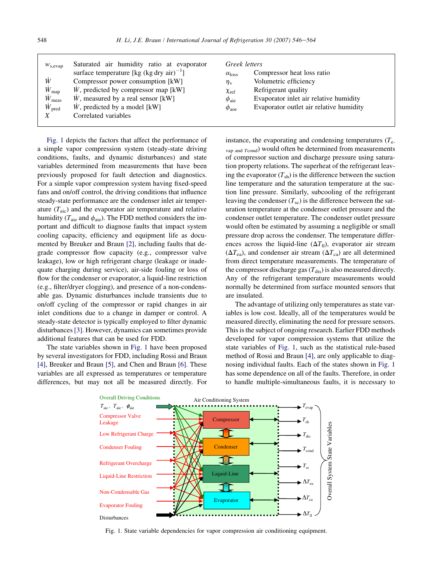<span id="page-2-0"></span>

| $W_{\rm s, evap}$       | Saturated air humidity ratio at evaporator     | Greek letters       |                                         |
|-------------------------|------------------------------------------------|---------------------|-----------------------------------------|
|                         | surface temperature [kg (kg dry air) $^{-1}$ ] | $\alpha_{loss}$     | Compressor heat loss ratio              |
| W                       | Compressor power consumption [kW]              | $\eta_{\rm v}$      | Volumetric efficiency                   |
| $\dot{W}_{\rm map}$     | W, predicted by compressor map [kW]            | $\chi_{\rm ref}$    | Refrigerant quality                     |
| $\dot{W}_{\text{meas}}$ | W, measured by a real sensor [kW]              | $\phi_{\rm aie}$    | Evaporator inlet air relative humidity  |
| $W_{\text{pred}}$       | W, predicted by a model [kW]                   | $\phi_{\text{aoe}}$ | Evaporator outlet air relative humidity |
| X                       | Correlated variables                           |                     |                                         |
|                         |                                                |                     |                                         |

Fig. 1 depicts the factors that affect the performance of a simple vapor compression system (steady-state driving conditions, faults, and dynamic disturbances) and state variables determined from measurements that have been previously proposed for fault detection and diagnostics. For a simple vapor compression system having fixed-speed fans and on/off control, the driving conditions that influence steady-state performance are the condenser inlet air temperature  $(T_{\text{aic}})$  and the evaporator air temperature and relative humidity ( $T_{\text{aie}}$  and  $\phi_{\text{aie}}$ ). The FDD method considers the important and difficult to diagnose faults that impact system cooling capacity, efficiency and equipment life as documented by Breuker and Braun [\[2\],](#page-17-0) including faults that degrade compressor flow capacity (e.g., compressor valve leakage), low or high refrigerant charge (leakage or inadequate charging during service), air-side fouling or loss of flow for the condenser or evaporator, a liquid-line restriction (e.g., filter/dryer clogging), and presence of a non-condensable gas. Dynamic disturbances include transients due to on/off cycling of the compressor or rapid changes in air inlet conditions due to a change in damper or control. A steady-state detector is typically employed to filter dynamic disturbances [\[3\].](#page-17-0) However, dynamics can sometimes provide additional features that can be used for FDD.

The state variables shown in Fig. 1 have been proposed by several investigators for FDD, including Rossi and Braun [\[4\],](#page-17-0) Breuker and Braun [\[5\]](#page-17-0), and Chen and Braun [\[6\]](#page-17-0). These variables are all expressed as temperatures or temperature differences, but may not all be measured directly. For instance, the evaporating and condensing temperatures  $(T_e$  $v_{\text{ap and }T\text{cond}}$ ) would often be determined from measurements of compressor suction and discharge pressure using saturation property relations. The superheat of the refrigerant leaving the evaporator  $(T_{sh})$  is the difference between the suction line temperature and the saturation temperature at the suction line pressure. Similarly, subcooling of the refrigerant leaving the condenser  $(T_{\rm sc})$  is the difference between the saturation temperature at the condenser outlet pressure and the condenser outlet temperature. The condenser outlet pressure would often be estimated by assuming a negligible or small pressure drop across the condenser. The temperature differences across the liquid-line  $(\Delta T_{\text{II}})$ , evaporator air stream  $(\Delta T_{ea})$ , and condenser air stream  $(\Delta T_{ca})$  are all determined from direct temperature measurements. The temperature of the compressor discharge gas  $(T_{dis})$  is also measured directly. Any of the refrigerant temperature measurements would normally be determined from surface mounted sensors that are insulated.

The advantage of utilizing only temperatures as state variables is low cost. Ideally, all of the temperatures would be measured directly, eliminating the need for pressure sensors. This is the subject of ongoing research. Earlier FDD methods developed for vapor compression systems that utilize the state variables of Fig. 1, such as the statistical rule-based method of Rossi and Braun [\[4\]](#page-17-0), are only applicable to diagnosing individual faults. Each of the states shown in Fig. 1 has some dependence on all of the faults. Therefore, in order to handle multiple-simultaneous faults, it is necessary to



Fig. 1. State variable dependencies for vapor compression air conditioning equipment.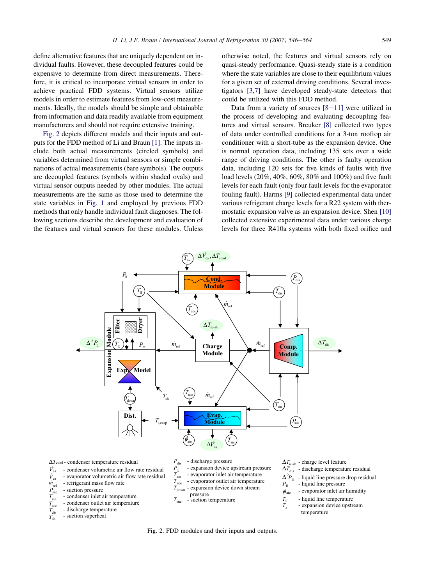define alternative features that are uniquely dependent on individual faults. However, these decoupled features could be expensive to determine from direct measurements. Therefore, it is critical to incorporate virtual sensors in order to achieve practical FDD systems. Virtual sensors utilize models in order to estimate features from low-cost measurements. Ideally, the models should be simple and obtainable from information and data readily available from equipment manufacturers and should not require extensive training.

Fig. 2 depicts different models and their inputs and outputs for the FDD method of Li and Braun [\[1\]](#page-17-0). The inputs include both actual measurements (circled symbols) and variables determined from virtual sensors or simple combinations of actual measurements (bare symbols). The outputs are decoupled features (symbols within shaded ovals) and virtual sensor outputs needed by other modules. The actual measurements are the same as those used to determine the state variables in [Fig. 1](#page-2-0) and employed by previous FDD methods that only handle individual fault diagnoses. The following sections describe the development and evaluation of the features and virtual sensors for these modules. Unless

otherwise noted, the features and virtual sensors rely on quasi-steady performance. Quasi-steady state is a condition where the state variables are close to their equilibrium values for a given set of external driving conditions. Several investigators [\[3,7\]](#page-17-0) have developed steady-state detectors that could be utilized with this FDD method.

Data from a variety of sources  $[8-11]$  $[8-11]$  were utilized in the process of developing and evaluating decoupling features and virtual sensors. Breuker [\[8\]](#page-17-0) collected two types of data under controlled conditions for a 3-ton rooftop air conditioner with a short-tube as the expansion device. One is normal operation data, including 135 sets over a wide range of driving conditions. The other is faulty operation data, including 120 sets for five kinds of faults with five load levels (20%, 40%, 60%, 80% and 100%) and five fault levels for each fault (only four fault levels for the evaporator fouling fault). Harms [\[9\]](#page-17-0) collected experimental data under various refrigerant charge levels for a R22 system with thermostatic expansion valve as an expansion device. Shen [\[10\]](#page-17-0) collected extensive experimental data under various charge levels for three R410a systems with both fixed orifice and



Fig. 2. FDD modules and their inputs and outputs.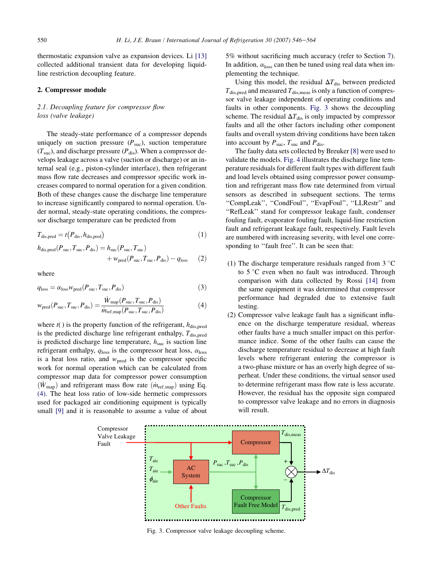<span id="page-4-0"></span>thermostatic expansion valve as expansion devices. Li [\[13\]](#page-17-0) collected additional transient data for developing liquidline restriction decoupling feature.

## 2. Compressor module

## 2.1. Decoupling feature for compressor flow loss (valve leakage)

The steady-state performance of a compressor depends uniquely on suction pressure  $(P_{\text{succ}})$ , suction temperature  $(T<sub>suc</sub>)$ , and discharge pressure  $(P<sub>dis</sub>)$ . When a compressor develops leakage across a valve (suction or discharge) or an internal seal (e.g., piston-cylinder interface), then refrigerant mass flow rate decreases and compressor specific work increases compared to normal operation for a given condition. Both of these changes cause the discharge line temperature to increase significantly compared to normal operation. Under normal, steady-state operating conditions, the compressor discharge temperature can be predicted from

$$
T_{\text{dis,pred}} = t(P_{\text{dis}}, h_{\text{dis,pred}})
$$
\n(1)

$$
h_{\text{dis,pred}}(P_{\text{suc}}, T_{\text{suc}}, P_{\text{dis}}) = h_{\text{suc}}(P_{\text{suc}}, T_{\text{suc}}) + w_{\text{pred}}(P_{\text{suc}}, T_{\text{suc}}, P_{\text{dis}}) - q_{\text{loss}} \tag{2}
$$

where

$$
q_{\text{loss}} = \alpha_{\text{loss}} w_{\text{pred}}(P_{\text{suc}}, T_{\text{suc}}, P_{\text{dis}})
$$
 (3)

$$
w_{\text{pred}}(P_{\text{suc}}, T_{\text{suc}}, P_{\text{dis}}) = \frac{\dot{W}_{\text{map}}(P_{\text{suc}}, T_{\text{suc}}, P_{\text{dis}})}{\dot{m}_{\text{ref}, \text{map}}(P_{\text{suc}}, T_{\text{suc}}, P_{\text{dis}})}
$$
(4)

where  $t()$  is the property function of the refrigerant,  $h_{dis,pred}$ is the predicted discharge line refrigerant enthalpy,  $T_{dis,pred}$ is predicted discharge line temperature,  $h<sub>suc</sub>$  is suction line refrigerant enthalpy,  $q_{\text{loss}}$  is the compressor heat loss,  $\alpha_{\text{loss}}$ is a heat loss ratio, and  $w_{pred}$  is the compressor specific work for normal operation which can be calculated from compressor map data for compressor power consumption  $(\dot{W}_{\text{map}})$  and refrigerant mass flow rate  $(\dot{m}_{\text{ref,map}})$  using Eq. (4). The heat loss ratio of low-side hermetic compressors used for packaged air conditioning equipment is typically small [\[9\]](#page-17-0) and it is reasonable to assume a value of about

5% without sacrificing much accuracy (refer to Section 7). In addition,  $\alpha_{\text{loss}}$  can then be tuned using real data when implementing the technique.

Using this model, the residual  $\Delta T_{\text{dis}}$  between predicted  $T_{\text{dis,pred}}$  and measured  $T_{\text{dis,meas}}$  is only a function of compressor valve leakage independent of operating conditions and faults in other components. Fig. 3 shows the decoupling scheme. The residual  $\Delta T_{\text{dis}}$  is only impacted by compressor faults and all the other factors including other component faults and overall system driving conditions have been taken into account by  $P_{\text{suc}}$ ,  $T_{\text{suc}}$  and  $P_{\text{dis}}$ .

The faulty data sets collected by Breuker [\[8\]](#page-17-0) were used to validate the models. [Fig. 4](#page-5-0) illustrates the discharge line temperature residuals for different fault types with different fault and load levels obtained using compressor power consumption and refrigerant mass flow rate determined from virtual sensors as described in subsequent sections. The terms ''CompLeak'', ''CondFoul'', ''EvapFoul'', ''LLRestr'' and ''RefLeak'' stand for compressor leakage fault, condenser fouling fault, evaporator fouling fault, liquid-line restriction fault and refrigerant leakage fault, respectively. Fault levels are numbered with increasing severity, with level one corresponding to ''fault free''. It can be seen that:

- (1) The discharge temperature residuals ranged from  $3^{\circ}$ C to 5 °C even when no fault was introduced. Through comparison with data collected by Rossi [\[14\]](#page-17-0) from the same equipment it was determined that compressor performance had degraded due to extensive fault testing.
- (2) Compressor valve leakage fault has a significant influence on the discharge temperature residual, whereas other faults have a much smaller impact on this performance indice. Some of the other faults can cause the discharge temperature residual to decrease at high fault levels where refrigerant entering the compressor is a two-phase mixture or has an overly high degree of superheat. Under these conditions, the virtual sensor used to determine refrigerant mass flow rate is less accurate. However, the residual has the opposite sign compared to compressor valve leakage and no errors in diagnosis will result.



Fig. 3. Compressor valve leakage decoupling scheme.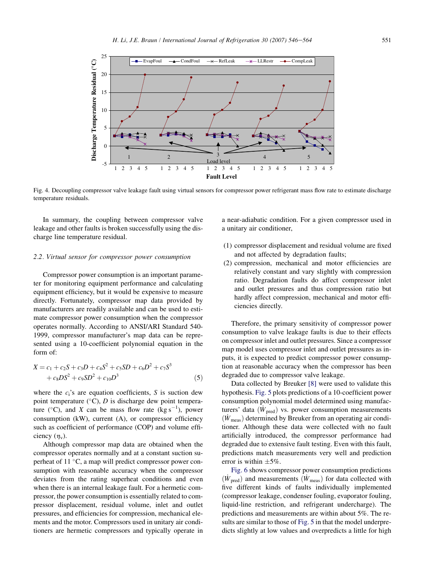<span id="page-5-0"></span>

Fig. 4. Decoupling compressor valve leakage fault using virtual sensors for compressor power refrigerant mass flow rate to estimate discharge temperature residuals.

In summary, the coupling between compressor valve leakage and other faults is broken successfully using the discharge line temperature residual.

#### 2.2. Virtual sensor for compressor power consumption

Compressor power consumption is an important parameter for monitoring equipment performance and calculating equipment efficiency, but it would be expensive to measure directly. Fortunately, compressor map data provided by manufacturers are readily available and can be used to estimate compressor power consumption when the compressor operates normally. According to ANSI/ARI Standard 540- 1999, compressor manufacturer's map data can be represented using a 10-coefficient polynomial equation in the form of:

$$
X = c_1 + c_2S + c_3D + c_4S^2 + c_5SD + c_6D^2 + c_7S^3
$$
  
+  $c_8DS^2 + c_9SD^2 + c_{10}D^3$  (5)

where the  $c_i$ 's are equation coefficients, S is suction dew point temperature  $(^{\circ}C)$ , D is discharge dew point temperature ( $^{\circ}$ C), and X can be mass flow rate (kg s<sup>-1</sup>), power consumption (kW), current (A), or compressor efficiency such as coefficient of performance (COP) and volume efficiency  $(\eta_v)$ .

Although compressor map data are obtained when the compressor operates normally and at a constant suction superheat of 11 °C, a map will predict compressor power consumption with reasonable accuracy when the compressor deviates from the rating superheat conditions and even when there is an internal leakage fault. For a hermetic compressor, the power consumption is essentially related to compressor displacement, residual volume, inlet and outlet pressures, and efficiencies for compression, mechanical elements and the motor. Compressors used in unitary air conditioners are hermetic compressors and typically operate in a near-adiabatic condition. For a given compressor used in a unitary air conditioner,

- (1) compressor displacement and residual volume are fixed and not affected by degradation faults;
- (2) compression, mechanical and motor efficiencies are relatively constant and vary slightly with compression ratio. Degradation faults do affect compressor inlet and outlet pressures and thus compression ratio but hardly affect compression, mechanical and motor efficiencies directly.

Therefore, the primary sensitivity of compressor power consumption to valve leakage faults is due to their effects on compressor inlet and outlet pressures. Since a compressor map model uses compressor inlet and outlet pressures as inputs, it is expected to predict compressor power consumption at reasonable accuracy when the compressor has been degraded due to compressor valve leakage.

Data collected by Breuker [\[8\]](#page-17-0) were used to validate this hypothesis. [Fig. 5](#page-6-0) plots predictions of a 10-coefficient power consumption polynomial model determined using manufacturers' data  $(\dot{W}_{pred})$  vs. power consumption measurements  $(W_{\text{meas}})$  determined by Breuker from an operating air conditioner. Although these data were collected with no fault artificially introduced, the compressor performance had degraded due to extensive fault testing. Even with this fault, predictions match measurements very well and prediction error is within  $\pm 5\%$ .

[Fig. 6](#page-6-0) shows compressor power consumption predictions  $(\dot{W}_{\text{pred}})$  and measurements  $(\dot{W}_{\text{meas}})$  for data collected with five different kinds of faults individually implemented (compressor leakage, condenser fouling, evaporator fouling, liquid-line restriction, and refrigerant undercharge). The predictions and measurements are within about 5%. The results are similar to those of [Fig. 5](#page-6-0) in that the model underpredicts slightly at low values and overpredicts a little for high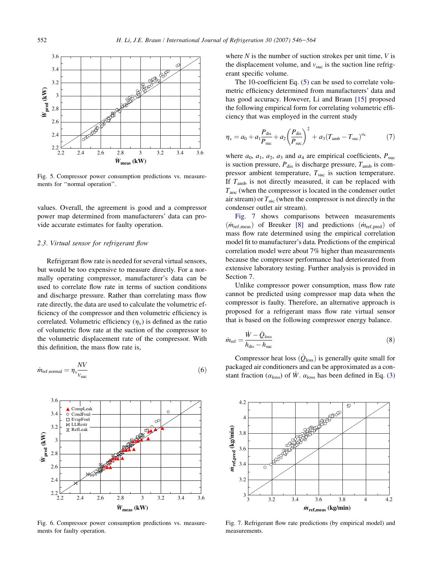<span id="page-6-0"></span>

Fig. 5. Compressor power consumption predictions vs. measurements for ''normal operation''.

values. Overall, the agreement is good and a compressor power map determined from manufacturers' data can provide accurate estimates for faulty operation.

## 2.3. Virtual sensor for refrigerant flow

Refrigerant flow rate is needed for several virtual sensors, but would be too expensive to measure directly. For a normally operating compressor, manufacturer's data can be used to correlate flow rate in terms of suction conditions and discharge pressure. Rather than correlating mass flow rate directly, the data are used to calculate the volumetric efficiency of the compressor and then volumetric efficiency is correlated. Volumetric efficiency  $(\eta_v)$  is defined as the ratio of volumetric flow rate at the suction of the compressor to the volumetric displacement rate of the compressor. With this definition, the mass flow rate is,

$$
\dot{m}_{\text{ref,normal}} = \eta_{\text{v}} \frac{NV}{v_{\text{succ}}} \tag{6}
$$



Fig. 6. Compressor power consumption predictions vs. measurements for faulty operation.

where  $N$  is the number of suction strokes per unit time,  $V$  is the displacement volume, and  $v_{\text{suc}}$  is the suction line refrigerant specific volume.

The 10-coefficient Eq. [\(5\)](#page-5-0) can be used to correlate volumetric efficiency determined from manufacturers' data and has good accuracy. However, Li and Braun [\[15\]](#page-18-0) proposed the following empirical form for correlating volumetric efficiency that was employed in the current study

$$
\eta_{\rm v} = a_0 + a_1 \frac{P_{\rm dis}}{P_{\rm suc}} + a_2 \left(\frac{P_{\rm dis}}{P_{\rm suc}}\right)^2 + a_3 (T_{\rm amb} - T_{\rm suc})^{a_4} \tag{7}
$$

where  $a_0$ ,  $a_1$ ,  $a_2$ ,  $a_3$  and  $a_4$  are empirical coefficients,  $P_{\text{suc}}$ is suction pressure,  $P_{dis}$  is discharge pressure,  $T_{amb}$  is compressor ambient temperature,  $T_{\text{inc}}$  is suction temperature. If  $T_{\rm amb}$  is not directly measured, it can be replaced with  $T_{\text{acc}}$  (when the compressor is located in the condenser outlet air stream) or  $T_{\text{aic}}$  (when the compressor is not directly in the condenser outlet air stream).

Fig. 7 shows comparisons between measurements  $(m_{\text{ref}.\text{meas}})$  of Breuker [\[8\]](#page-17-0) and predictions  $(m_{\text{ref}.\text{pred}})$  of mass flow rate determined using the empirical correlation model fit to manufacturer's data. Predictions of the empirical correlation model were about 7% higher than measurements because the compressor performance had deteriorated from extensive laboratory testing. Further analysis is provided in Section 7.

Unlike compressor power consumption, mass flow rate cannot be predicted using compressor map data when the compressor is faulty. Therefore, an alternative approach is proposed for a refrigerant mass flow rate virtual sensor that is based on the following compressor energy balance.

$$
\dot{m}_{\text{ref}} = \frac{\dot{W} - \dot{Q}_{\text{loss}}}{h_{\text{dis}} - h_{\text{succ}}} \tag{8}
$$

Compressor heat loss  $(Q_{\text{loss}})$  is generally quite small for packaged air conditioners and can be approximated as a constant fraction ( $\alpha_{\text{loss}}$ ) of  $\dot{W}$ .  $\alpha_{\text{loss}}$  has been defined in Eq. [\(3\)](#page-4-0)



Fig. 7. Refrigerant flow rate predictions (by empirical model) and measurements.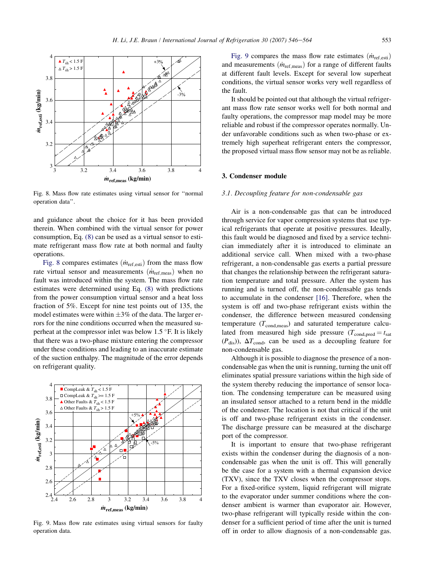<span id="page-7-0"></span>

Fig. 8. Mass flow rate estimates using virtual sensor for ''normal operation data''.

and guidance about the choice for it has been provided therein. When combined with the virtual sensor for power consumption, Eq. [\(8\)](#page-6-0) can be used as a virtual sensor to estimate refrigerant mass flow rate at both normal and faulty operations.

Fig. 8 compares estimates  $(m_{ref,esti})$  from the mass flow rate virtual sensor and measurements  $(m_{\text{ref} , \text{meas}})$  when no fault was introduced within the system. The mass flow rate estimates were determined using Eq. [\(8\)](#page-6-0) with predictions from the power consumption virtual sensor and a heat loss fraction of 5%. Except for nine test points out of 135, the model estimates were within  $\pm 3\%$  of the data. The larger errors for the nine conditions occurred when the measured superheat at the compressor inlet was below 1.5 °F. It is likely that there was a two-phase mixture entering the compressor under these conditions and leading to an inaccurate estimate of the suction enthalpy. The magnitude of the error depends on refrigerant quality.



Fig. 9. Mass flow rate estimates using virtual sensors for faulty operation data.

Fig. 9 compares the mass flow rate estimates  $(m_{\text{ref-est}})$ and measurements  $(m_{\text{ref.meas}})$  for a range of different faults at different fault levels. Except for several low superheat conditions, the virtual sensor works very well regardless of the fault.

It should be pointed out that although the virtual refrigerant mass flow rate sensor works well for both normal and faulty operations, the compressor map model may be more reliable and robust if the compressor operates normally. Under unfavorable conditions such as when two-phase or extremely high superheat refrigerant enters the compressor, the proposed virtual mass flow sensor may not be as reliable.

### 3. Condenser module

#### 3.1. Decoupling feature for non-condensable gas

Air is a non-condensable gas that can be introduced through service for vapor compression systems that use typical refrigerants that operate at positive pressures. Ideally, this fault would be diagnosed and fixed by a service technician immediately after it is introduced to eliminate an additional service call. When mixed with a two-phase refrigerant, a non-condensable gas exerts a partial pressure that changes the relationship between the refrigerant saturation temperature and total pressure. After the system has running and is turned off, the non-condensable gas tends to accumulate in the condenser [\[16\]](#page-18-0). Therefore, when the system is off and two-phase refrigerant exists within the condenser, the difference between measured condensing temperature  $(T_{\text{cond,meas}})$  and saturated temperature calculated from measured high side pressure ( $T_{\text{cond, pred}} = t_{\text{sat}}$  $(P_{dis})$ ),  $\Delta T_{cond}$ , can be used as a decoupling feature for non-condensable gas.

Although it is possible to diagnose the presence of a noncondensable gas when the unit is running, turning the unit off eliminates spatial pressure variations within the high side of the system thereby reducing the importance of sensor location. The condensing temperature can be measured using an insulated sensor attached to a return bend in the middle of the condenser. The location is not that critical if the unit is off and two-phase refrigerant exists in the condenser. The discharge pressure can be measured at the discharge port of the compressor.

It is important to ensure that two-phase refrigerant exists within the condenser during the diagnosis of a noncondensable gas when the unit is off. This will generally be the case for a system with a thermal expansion device (TXV), since the TXV closes when the compressor stops. For a fixed-orifice system, liquid refrigerant will migrate to the evaporator under summer conditions where the condenser ambient is warmer than evaporator air. However, two-phase refrigerant will typically reside within the condenser for a sufficient period of time after the unit is turned off in order to allow diagnosis of a non-condensable gas.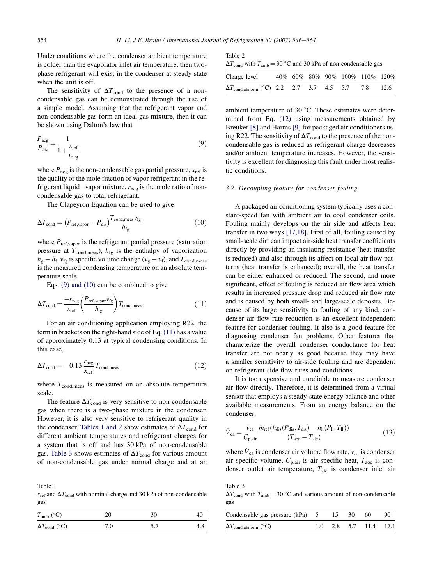<span id="page-8-0"></span>Under conditions where the condenser ambient temperature is colder than the evaporator inlet air temperature, then twophase refrigerant will exist in the condenser at steady state when the unit is off.

The sensitivity of  $\Delta T_{\text{cond}}$  to the presence of a noncondensable gas can be demonstrated through the use of a simple model. Assuming that the refrigerant vapor and non-condensable gas form an ideal gas mixture, then it can be shown using Dalton's law that

$$
\frac{P_{\text{neg}}}{P_{\text{dis}}} = \frac{1}{1 + \frac{X_{\text{ref}}}{r_{\text{neg}}}}
$$
(9)

where  $P_{\text{nce}}$  is the non-condensable gas partial pressure,  $x_{\text{ref}}$  is the quality or the mole fraction of vapor refrigerant in the refrigerant liquid-vapor mixture,  $r_{\text{ncg}}$  is the mole ratio of noncondensable gas to total refrigerant.

The Clapeyron Equation can be used to give

$$
\Delta T_{\text{cond}} = \left(P_{\text{ref,vapor}} - P_{\text{dis}}\right)^{T_{\text{cond}, \text{meas}} \nu_{\text{fg}}}
$$
\n(10)

where  $P_{ref,vapor}$  is the refrigerant partial pressure (saturation pressure at  $T_{\text{cond,meas}}$ ,  $h_{\text{fg}}$  is the enthalpy of vaporization  $h_g - h_f$ ,  $v_{fg}$  is specific volume change ( $v_g - v_f$ ), and  $T_{cond,meas}$ is the measured condensing temperature on an absolute temperature scale.

Eqs. (9) and (10) can be combined to give

$$
\Delta T_{\text{cond}} = \frac{-r_{\text{ncg}}}{x_{\text{ref}}} \left(\frac{P_{\text{ref},\text{vapor}} v_{\text{fg}}}{h_{\text{fg}}}\right) T_{\text{cond,meas}} \tag{11}
$$

For an air conditioning application employing R22, the term in brackets on the right-hand side of Eq. (11) has a value of approximately 0.13 at typical condensing conditions. In this case,

$$
\Delta T_{\text{cond}} = -0.13 \frac{r_{\text{neg}}}{x_{\text{ref}}} T_{\text{cond,meas}} \tag{12}
$$

where  $T_{\text{cond,meas}}$  is measured on an absolute temperature scale.

The feature  $\Delta T_{\text{cond}}$  is very sensitive to non-condensable gas when there is a two-phase mixture in the condenser. However, it is also very sensitive to refrigerant quality in the condenser. Tables 1 and 2 show estimates of  $\Delta T_{\text{cond}}$  for different ambient temperatures and refrigerant charges for a system that is off and has 30 kPa of non-condensable gas. Table 3 shows estimates of  $\Delta T_{\text{cond}}$  for various amount of non-condensable gas under normal charge and at an

Table 1

 $x_{ref}$  and  $\Delta T_{cond}$  with nominal charge and 30 kPa of non-condensable gas

| $T_{\rm amb}$ (°C)         | 20  | 30  | 40  |
|----------------------------|-----|-----|-----|
| $\Delta T_{\rm cond}$ (°C) | 7.0 | 5.7 | 4.8 |

Table 2

| $\Delta T_{\text{cond}}$ with $T_{\text{amb}} = 30$ °C and 30 kPa of non-condensable gas |  |
|------------------------------------------------------------------------------------------|--|
|------------------------------------------------------------------------------------------|--|

| Charge level                                                              |  |  | 40\% 60\% 80\% 90\% 100\% 110\% 120\% |  |
|---------------------------------------------------------------------------|--|--|---------------------------------------|--|
| $\Delta T_{\text{cond}, \text{abnorm}}$ (°C) 2.2 2.7 3.7 4.5 5.7 7.8 12.6 |  |  |                                       |  |

ambient temperature of 30  $^{\circ}$ C. These estimates were determined from Eq. (12) using measurements obtained by Breuker [\[8\]](#page-17-0) and Harms [\[9\]](#page-17-0) for packaged air conditioners using R22. The sensitivity of  $\Delta T_{\text{cond}}$  to the presence of the noncondensable gas is reduced as refrigerant charge decreases and/or ambient temperature increases. However, the sensitivity is excellent for diagnosing this fault under most realistic conditions.

## 3.2. Decoupling feature for condenser fouling

A packaged air conditioning system typically uses a constant-speed fan with ambient air to cool condenser coils. Fouling mainly develops on the air side and affects heat transfer in two ways [\[17,18\]](#page-18-0). First of all, fouling caused by small-scale dirt can impact air-side heat transfer coefficients directly by providing an insulating resistance (heat transfer is reduced) and also through its affect on local air flow patterns (heat transfer is enhanced); overall, the heat transfer can be either enhanced or reduced. The second, and more significant, effect of fouling is reduced air flow area which results in increased pressure drop and reduced air flow rate and is caused by both small- and large-scale deposits. Because of its large sensitivity to fouling of any kind, condenser air flow rate reduction is an excellent independent feature for condenser fouling. It also is a good feature for diagnosing condenser fan problems. Other features that characterize the overall condenser conductance for heat transfer are not nearly as good because they may have a smaller sensitivity to air-side fouling and are dependent on refrigerant-side flow rates and conditions.

It is too expensive and unreliable to measure condenser air flow directly. Therefore, it is determined from a virtual sensor that employs a steady-state energy balance and other available measurements. From an energy balance on the condenser,

$$
\dot{V}_{\text{ca}} = \frac{v_{\text{ca}}}{C_{\text{p,air}}} \frac{\dot{m}_{\text{ref}} (h_{\text{dis}} (P_{\text{dis}}, T_{\text{dis}}) - h_{\text{ll}} (P_{\text{ll}}, T_{\text{ll}}))}{(T_{\text{acc}} - T_{\text{aic}})}
$$
(13)

where  $\dot{V}_{\text{ca}}$  is condenser air volume flow rate,  $v_{\text{ca}}$  is condenser air specific volume,  $C_{p,air}$  is air specific heat,  $T_{aoc}$  is condenser outlet air temperature, Taic is condenser inlet air

 $\Delta T_{\text{cond}}$  with  $T_{\text{amb}} = 30$  °C and various amount of non-condensable gas

Table 3

| Condensable gas pressure $(kPa)$ 5 15 30 60 |  |                         | - 90 |
|---------------------------------------------|--|-------------------------|------|
| $\Delta T_{\text{cond,abnorm}}$ (°C)        |  | $1.0$ 2.8 5.7 11.4 17.1 |      |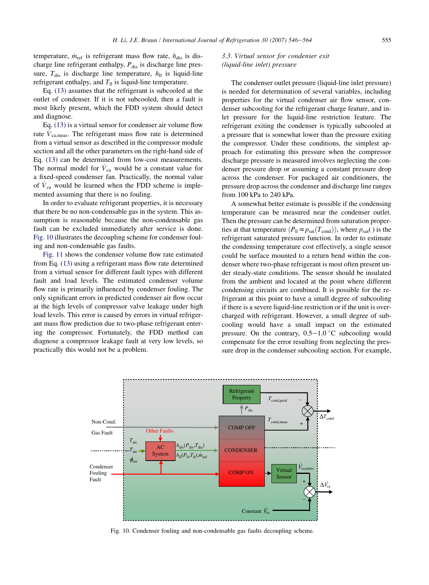temperature,  $\dot{m}_{\text{ref}}$  is refrigerant mass flow rate,  $h_{\text{dis}}$  is discharge line refrigerant enthalpy,  $P_{dis}$  is discharge line pressure,  $T_{dis}$  is discharge line temperature,  $h_{ll}$  is liquid-line refrigerant enthalpy, and  $T<sub>II</sub>$  is liquid-line temperature.

Eq. [\(13\)](#page-8-0) assumes that the refrigerant is subcooled at the outlet of condenser. If it is not subcooled, then a fault is most likely present, which the FDD system should detect and diagnose.

Eq. [\(13\)](#page-8-0) is a virtual sensor for condenser air volume flow rate  $V_{\text{ca meas}}$ . The refrigerant mass flow rate is determined from a virtual sensor as described in the compressor module section and all the other parameters on the right-hand side of Eq. [\(13\)](#page-8-0) can be determined from low-cost measurements. The normal model for  $\dot{V}_{ca}$  would be a constant value for a fixed-speed condenser fan. Practically, the normal value of  $\dot{V}_{ca}$  would be learned when the FDD scheme is implemented assuming that there is no fouling.

In order to evaluate refrigerant properties, it is necessary that there be no non-condensable gas in the system. This assumption is reasonable because the non-condensable gas fault can be excluded immediately after service is done. Fig. 10 illustrates the decoupling scheme for condenser fouling and non-condensable gas faults.

[Fig. 11](#page-10-0) shows the condenser volume flow rate estimated from Eq. [\(13\)](#page-8-0) using a refrigerant mass flow rate determined from a virtual sensor for different fault types with different fault and load levels. The estimated condenser volume flow rate is primarily influenced by condenser fouling. The only significant errors in predicted condenser air flow occur at the high levels of compressor valve leakage under high load levels. This error is caused by errors in virtual refrigerant mass flow prediction due to two-phase refrigerant entering the compressor. Fortunately, the FDD method can diagnose a compressor leakage fault at very low levels, so practically this would not be a problem.

## 3.3. Virtual sensor for condenser exit (liquid-line inlet) pressure

The condenser outlet pressure (liquid-line inlet pressure) is needed for determination of several variables, including properties for the virtual condenser air flow sensor, condenser subcooling for the refrigerant charge feature, and inlet pressure for the liquid-line restriction feature. The refrigerant exiting the condenser is typically subcooled at a pressure that is somewhat lower than the pressure exiting the compressor. Under these conditions, the simplest approach for estimating this pressure when the compressor discharge pressure is measured involves neglecting the condenser pressure drop or assuming a constant pressure drop across the condenser. For packaged air conditioners, the pressure drop across the condenser and discharge line ranges from 100 kPa to 240 kPa.

A somewhat better estimate is possible if the condensing temperature can be measured near the condenser outlet. Then the pressure can be determined from saturation properties at that temperature  $(P_{\text{ll}} \approx p_{\text{sat}}(T_{\text{cond}}))$ , where  $p_{\text{sat}}( )$  is the refrigerant saturated pressure function. In order to estimate the condensing temperature cost effectively, a single sensor could be surface mounted to a return bend within the condenser where two-phase refrigerant is most often present under steady-state conditions. The sensor should be insulated from the ambient and located at the point where different condensing circuits are combined. It is possible for the refrigerant at this point to have a small degree of subcooling if there is a severe liquid-line restriction or if the unit is overcharged with refrigerant. However, a small degree of subcooling would have a small impact on the estimated pressure. On the contrary,  $0.5-1.0$  °C subcooling would compensate for the error resulting from neglecting the pressure drop in the condenser subcooling section. For example,



Fig. 10. Condenser fouling and non-condensable gas faults decoupling scheme.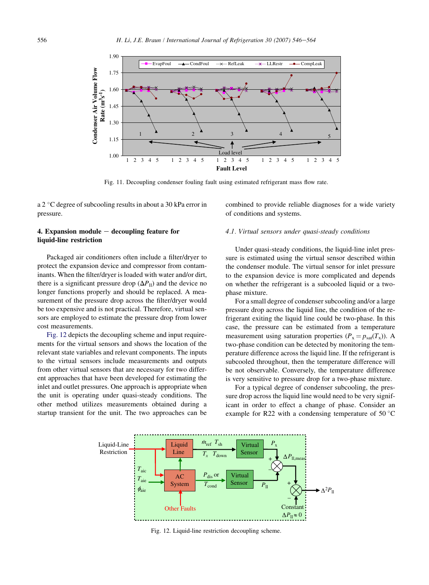<span id="page-10-0"></span>

Fig. 11. Decoupling condenser fouling fault using estimated refrigerant mass flow rate.

a 2 °C degree of subcooling results in about a 30 kPa error in pressure.

## 4. Expansion module  $-$  decoupling feature for liquid-line restriction

Packaged air conditioners often include a filter/dryer to protect the expansion device and compressor from contaminants. When the filter/dryer is loaded with water and/or dirt, there is a significant pressure drop  $(\Delta P_{\text{II}})$  and the device no longer functions properly and should be replaced. A measurement of the pressure drop across the filter/dryer would be too expensive and is not practical. Therefore, virtual sensors are employed to estimate the pressure drop from lower cost measurements.

Fig. 12 depicts the decoupling scheme and input requirements for the virtual sensors and shows the location of the relevant state variables and relevant components. The inputs to the virtual sensors include measurements and outputs from other virtual sensors that are necessary for two different approaches that have been developed for estimating the inlet and outlet pressures. One approach is appropriate when the unit is operating under quasi-steady conditions. The other method utilizes measurements obtained during a startup transient for the unit. The two approaches can be

combined to provide reliable diagnoses for a wide variety of conditions and systems.

#### 4.1. Virtual sensors under quasi-steady conditions

Under quasi-steady conditions, the liquid-line inlet pressure is estimated using the virtual sensor described within the condenser module. The virtual sensor for inlet pressure to the expansion device is more complicated and depends on whether the refrigerant is a subcooled liquid or a twophase mixture.

For a small degree of condenser subcooling and/or a large pressure drop across the liquid line, the condition of the refrigerant exiting the liquid line could be two-phase. In this case, the pressure can be estimated from a temperature measurement using saturation properties  $(P_x = p_{sat}(T_x))$ . A two-phase condition can be detected by monitoring the temperature difference across the liquid line. If the refrigerant is subcooled throughout, then the temperature difference will be not observable. Conversely, the temperature difference is very sensitive to pressure drop for a two-phase mixture.

For a typical degree of condenser subcooling, the pressure drop across the liquid line would need to be very significant in order to effect a change of phase. Consider an example for R22 with a condensing temperature of 50 $^{\circ}$ C



Fig. 12. Liquid-line restriction decoupling scheme.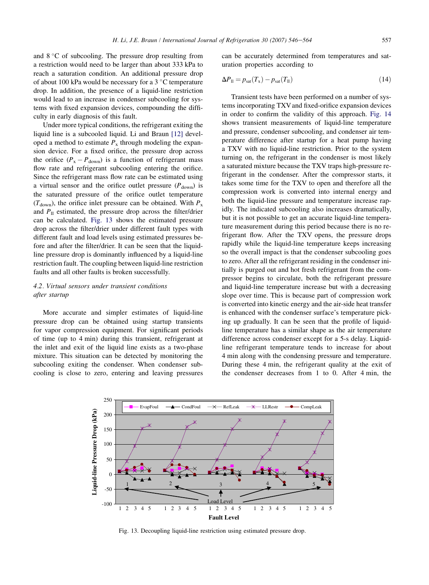and  $8^{\circ}$ C of subcooling. The pressure drop resulting from a restriction would need to be larger than about 333 kPa to reach a saturation condition. An additional pressure drop of about 100 kPa would be necessary for a 3 °C temperature drop. In addition, the presence of a liquid-line restriction would lead to an increase in condenser subcooling for systems with fixed expansion devices, compounding the difficulty in early diagnosis of this fault.

Under more typical conditions, the refrigerant exiting the liquid line is a subcooled liquid. Li and Braun [\[12\]](#page-17-0) developed a method to estimate  $P_x$  through modeling the expansion device. For a fixed orifice, the pressure drop across the orifice  $(P_x - P_{down})$  is a function of refrigerant mass flow rate and refrigerant subcooling entering the orifice. Since the refrigerant mass flow rate can be estimated using a virtual sensor and the orifice outlet pressure  $(P_{down})$  is the saturated pressure of the orifice outlet temperature  $(T<sub>down</sub>)$ , the orifice inlet pressure can be obtained. With  $P<sub>x</sub>$ and  $P_{\text{ll}}$  estimated, the pressure drop across the filter/drier can be calculated. Fig. 13 shows the estimated pressure drop across the filter/drier under different fault types with different fault and load levels using estimated pressures before and after the filter/drier. It can be seen that the liquidline pressure drop is dominantly influenced by a liquid-line restriction fault. The coupling between liquid-line restriction faults and all other faults is broken successfully.

## 4.2. Virtual sensors under transient conditions after startup

More accurate and simpler estimates of liquid-line pressure drop can be obtained using startup transients for vapor compression equipment. For significant periods of time (up to 4 min) during this transient, refrigerant at the inlet and exit of the liquid line exists as a two-phase mixture. This situation can be detected by monitoring the subcooling exiting the condenser. When condenser subcooling is close to zero, entering and leaving pressures can be accurately determined from temperatures and saturation properties according to

$$
\Delta P_{\rm ll} = p_{\rm sat}(T_{\rm x}) - p_{\rm sat}(T_{\rm ll})\tag{14}
$$

Transient tests have been performed on a number of systems incorporating TXV and fixed-orifice expansion devices in order to confirm the validity of this approach. [Fig. 14](#page-12-0) shows transient measurements of liquid-line temperature and pressure, condenser subcooling, and condenser air temperature difference after startup for a heat pump having a TXV with no liquid-line restriction. Prior to the system turning on, the refrigerant in the condenser is most likely a saturated mixture because the TXV traps high-pressure refrigerant in the condenser. After the compressor starts, it takes some time for the TXV to open and therefore all the compression work is converted into internal energy and both the liquid-line pressure and temperature increase rapidly. The indicated subcooling also increases dramatically, but it is not possible to get an accurate liquid-line temperature measurement during this period because there is no refrigerant flow. After the TXV opens, the pressure drops rapidly while the liquid-line temperature keeps increasing so the overall impact is that the condenser subcooling goes to zero. After all the refrigerant residing in the condenser initially is purged out and hot fresh refrigerant from the compressor begins to circulate, both the refrigerant pressure and liquid-line temperature increase but with a decreasing slope over time. This is because part of compression work is converted into kinetic energy and the air-side heat transfer is enhanced with the condenser surface's temperature picking up gradually. It can be seen that the profile of liquidline temperature has a similar shape as the air temperature difference across condenser except for a 5-s delay. Liquidline refrigerant temperature tends to increase for about 4 min along with the condensing pressure and temperature. During these 4 min, the refrigerant quality at the exit of the condenser decreases from 1 to 0. After 4 min, the



Fig. 13. Decoupling liquid-line restriction using estimated pressure drop.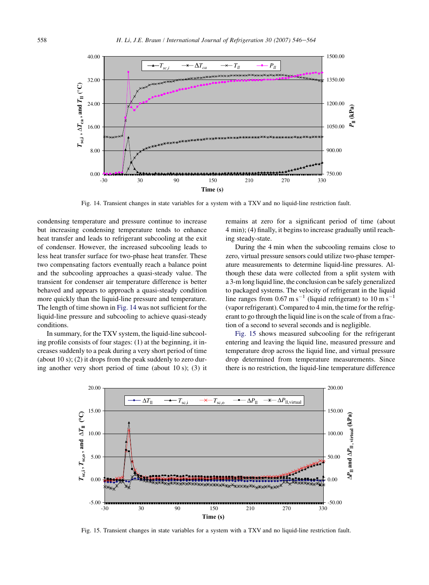<span id="page-12-0"></span>

Fig. 14. Transient changes in state variables for a system with a TXV and no liquid-line restriction fault.

condensing temperature and pressure continue to increase but increasing condensing temperature tends to enhance heat transfer and leads to refrigerant subcooling at the exit of condenser. However, the increased subcooling leads to less heat transfer surface for two-phase heat transfer. These two compensating factors eventually reach a balance point and the subcooling approaches a quasi-steady value. The transient for condenser air temperature difference is better behaved and appears to approach a quasi-steady condition more quickly than the liquid-line pressure and temperature. The length of time shown in Fig. 14 was not sufficient for the liquid-line pressure and subcooling to achieve quasi-steady conditions.

In summary, for the TXV system, the liquid-line subcooling profile consists of four stages: (1) at the beginning, it increases suddenly to a peak during a very short period of time (about 10 s); (2) it drops from the peak suddenly to zero during another very short period of time (about 10 s); (3) it remains at zero for a significant period of time (about 4 min); (4) finally, it begins to increase gradually until reaching steady-state.

During the 4 min when the subcooling remains close to zero, virtual pressure sensors could utilize two-phase temperature measurements to determine liquid-line pressures. Although these data were collected from a split system with a 3-m long liquid line, the conclusion can be safely generalized to packaged systems. The velocity of refrigerant in the liquid line ranges from  $0.67 \text{ m s}^{-1}$  (liquid refrigerant) to  $10 \text{ m s}^{-1}$ (vapor refrigerant). Compared to 4 min, the time for the refrigerant to go through the liquid line is on the scale of from a fraction of a second to several seconds and is negligible.

Fig. 15 shows measured subcooling for the refrigerant entering and leaving the liquid line, measured pressure and temperature drop across the liquid line, and virtual pressure drop determined from temperature measurements. Since there is no restriction, the liquid-line temperature difference



Fig. 15. Transient changes in state variables for a system with a TXV and no liquid-line restriction fault.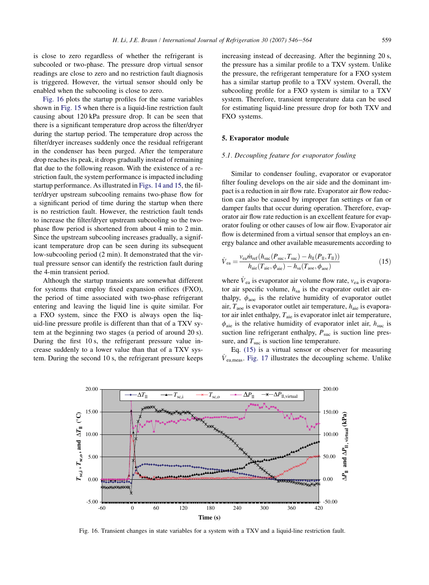<span id="page-13-0"></span>is close to zero regardless of whether the refrigerant is subcooled or two-phase. The pressure drop virtual sensor readings are close to zero and no restriction fault diagnosis is triggered. However, the virtual sensor should only be enabled when the subcooling is close to zero.

Fig. 16 plots the startup profiles for the same variables shown in [Fig. 15](#page-12-0) when there is a liquid-line restriction fault causing about 120 kPa pressure drop. It can be seen that there is a significant temperature drop across the filter/dryer during the startup period. The temperature drop across the filter/dryer increases suddenly once the residual refrigerant in the condenser has been purged. After the temperature drop reaches its peak, it drops gradually instead of remaining flat due to the following reason. With the existence of a restriction fault, the system performance is impacted including startup performance. As illustrated in [Figs. 14 and 15](#page-12-0), the filter/dryer upstream subcooling remains two-phase flow for a significant period of time during the startup when there is no restriction fault. However, the restriction fault tends to increase the filter/dryer upstream subcooling so the twophase flow period is shortened from about 4 min to 2 min. Since the upstream subcooling increases gradually, a significant temperature drop can be seen during its subsequent low-subcooling period (2 min). It demonstrated that the virtual pressure sensor can identify the restriction fault during the 4-min transient period.

Although the startup transients are somewhat different for systems that employ fixed expansion orifices (FXO), the period of time associated with two-phase refrigerant entering and leaving the liquid line is quite similar. For a FXO system, since the FXO is always open the liquid-line pressure profile is different than that of a TXV sytem at the beginning two stages (a period of around 20 s). During the first 10 s, the refrigerant pressure value increase suddenly to a lower value than that of a TXV system. During the second 10 s, the refrigerant pressure keeps increasing instead of decreasing. After the beginning 20 s, the pressure has a similar profile to a TXV system. Unlike the pressure, the refrigerant temperature for a FXO system has a similar startup profile to a TXV system. Overall, the subcooling profile for a FXO system is similar to a TXV system. Therefore, transient temperature data can be used for estimating liquid-line pressure drop for both TXV and FXO systems.

#### 5. Evaporator module

#### 5.1. Decoupling feature for evaporator fouling

Similar to condenser fouling, evaporator or evaporator filter fouling develops on the air side and the dominant impact is a reduction in air flow rate. Evaporator air flow reduction can also be caused by improper fan settings or fan or damper faults that occur during operation. Therefore, evaporator air flow rate reduction is an excellent feature for evaporator fouling or other causes of low air flow. Evaporator air flow is determined from a virtual sensor that employs an energy balance and other available measurements according to

$$
\dot{V}_{ea} = \frac{v_{ea}\dot{m}_{ref}(h_{suc}(P_{suc}, T_{suc}) - h_{ll}(P_{ll}, T_{ll}))}{h_{aie}(T_{aie}, \phi_{aie}) - h_{sa}(T_{aoe}, \phi_{aoe})}
$$
(15)

where  $\dot{V}_{\text{ea}}$  is evaporator air volume flow rate,  $v_{\text{ea}}$  is evaporator air specific volume,  $h_{sa}$  is the evaporator outlet air enthalpy,  $\phi_{\text{aoe}}$  is the relative humidity of evaporator outlet air,  $T_{\text{aoe}}$  is evaporator outlet air temperature,  $h_{\text{aie}}$  is evaporator air inlet enthalpy,  $T_{\text{aie}}$  is evaporator inlet air temperature,  $\phi_{\text{aie}}$  is the relative humidity of evaporator inlet air,  $h_{\text{succ}}$  is suction line refrigerant enthalpy,  $P_{\text{suc}}$  is suction line pressure, and  $T_{\text{suc}}$  is suction line temperature.

Eq. (15) is a virtual sensor or observer for measuring  $\dot{V}_{\rm ea, meas}$ . [Fig. 17](#page-14-0) illustrates the decoupling scheme. Unlike



Fig. 16. Transient changes in state variables for a system with a TXV and a liquid-line restriction fault.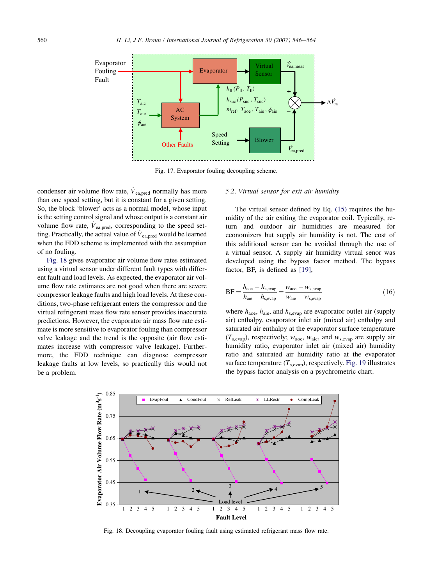<span id="page-14-0"></span>

Fig. 17. Evaporator fouling decoupling scheme.

condenser air volume flow rate,  $\dot{V}_{\rm ea, pred}$  normally has more than one speed setting, but it is constant for a given setting. So, the block 'blower' acts as a normal model, whose input is the setting control signal and whose output is a constant air volume flow rate,  $\dot{V}_{\rm ea, pred}$ , corresponding to the speed setting. Practically, the actual value of  $\dot{V}_{\rm ea, pred}$  would be learned when the FDD scheme is implemented with the assumption of no fouling.

Fig. 18 gives evaporator air volume flow rates estimated using a virtual sensor under different fault types with different fault and load levels. As expected, the evaporator air volume flow rate estimates are not good when there are severe compressor leakage faults and high load levels. At these conditions, two-phase refrigerant enters the compressor and the virtual refrigerant mass flow rate sensor provides inaccurate predictions. However, the evaporator air mass flow rate estimate is more sensitive to evaporator fouling than compressor valve leakage and the trend is the opposite (air flow estimates increase with compressor valve leakage). Furthermore, the FDD technique can diagnose compressor leakage faults at low levels, so practically this would not be a problem.

#### 5.2. Virtual sensor for exit air humidity

The virtual sensor defined by Eq. [\(15\)](#page-13-0) requires the humidity of the air exiting the evaporator coil. Typically, return and outdoor air humidities are measured for economizers but supply air humidity is not. The cost of this additional sensor can be avoided through the use of a virtual sensor. A supply air humidity virtual senor was developed using the bypass factor method. The bypass factor, BF, is defined as [\[19\],](#page-18-0)

$$
BF = \frac{h_{\text{aoe}} - h_{\text{s,evap}}}{h_{\text{aie}} - h_{\text{s,evap}}} = \frac{w_{\text{aoe}} - w_{\text{s,evap}}}{w_{\text{aie}} - w_{\text{s,evap}}}
$$
(16)

where  $h_{\text{aoe}}$ ,  $h_{\text{aie}}$ , and  $h_{\text{s,evap}}$  are evaporator outlet air (supply air) enthalpy, evaporator inlet air (mixed air) enthalpy and saturated air enthalpy at the evaporator surface temperature  $(T_{\text{s,evap}})$ , respectively;  $w_{\text{aoe}}$ ,  $w_{\text{aie}}$ , and  $w_{\text{s,evap}}$  are supply air humidity ratio, evaporator inlet air (mixed air) humidity ratio and saturated air humidity ratio at the evaporator surface temperature  $(T_{\text{s,evap}})$ , respectively. [Fig. 19](#page-15-0) illustrates the bypass factor analysis on a psychrometric chart.



Fig. 18. Decoupling evaporator fouling fault using estimated refrigerant mass flow rate.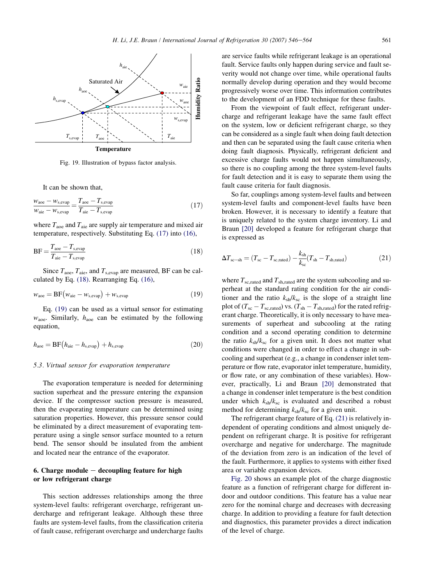<span id="page-15-0"></span>

Fig. 19. Illustration of bypass factor analysis.

It can be shown that,

$$
\frac{w_{\text{aoe}} - w_{\text{s,evap}}}{w_{\text{aie}} - w_{\text{s,evap}}} = \frac{T_{\text{aoe}} - T_{\text{s,evap}}}{T_{\text{aie}} - T_{\text{s,evap}}}
$$
(17)

where  $T_{\text{aoe}}$  and  $T_{\text{aie}}$  are supply air temperature and mixed air temperature, respectively. Substituting Eq. (17) into [\(16\),](#page-14-0)

$$
BF = \frac{T_{\text{aoe}} - T_{\text{s,evap}}}{T_{\text{aie}} - T_{\text{s,evap}}}
$$
(18)

Since  $T_{\text{aoe}}$ ,  $T_{\text{aie}}$ , and  $T_{\text{s,evap}}$  are measured, BF can be calculated by Eq. (18). Rearranging Eq. [\(16\)](#page-14-0),

$$
w_{\text{aoe}} = \text{BF}\left(w_{\text{aie}} - w_{\text{s,evap}}\right) + w_{\text{s,evap}}\tag{19}
$$

Eq. (19) can be used as a virtual sensor for estimating  $w_{\text{aoe}}$ . Similarly,  $h_{\text{aoe}}$  can be estimated by the following equation,

$$
h_{\text{aoe}} = \text{BF}\left(h_{\text{aie}} - h_{\text{s,evap}}\right) + h_{\text{s,evap}}\tag{20}
$$

#### 5.3. Virtual sensor for evaporation temperature

The evaporation temperature is needed for determining suction superheat and the pressure entering the expansion device. If the compressor suction pressure is measured, then the evaporating temperature can be determined using saturation properties. However, this pressure sensor could be eliminated by a direct measurement of evaporating temperature using a single sensor surface mounted to a return bend. The sensor should be insulated from the ambient and located near the entrance of the evaporator.

## 6. Charge module  $-$  decoupling feature for high or low refrigerant charge

This section addresses relationships among the three system-level faults: refrigerant overcharge, refrigerant undercharge and refrigerant leakage. Although these three faults are system-level faults, from the classification criteria of fault cause, refrigerant overcharge and undercharge faults are service faults while refrigerant leakage is an operational fault. Service faults only happen during service and fault severity would not change over time, while operational faults normally develop during operation and they would become progressively worse over time. This information contributes to the development of an FDD technique for these faults.

From the viewpoint of fault effect, refrigerant undercharge and refrigerant leakage have the same fault effect on the system, low or deficient refrigerant charge, so they can be considered as a single fault when doing fault detection and then can be separated using the fault cause criteria when doing fault diagnosis. Physically, refrigerant deficient and excessive charge faults would not happen simultaneously, so there is no coupling among the three system-level faults for fault detection and it is easy to separate them using the fault cause criteria for fault diagnosis.

So far, couplings among system-level faults and between system-level faults and component-level faults have been broken. However, it is necessary to identify a feature that is uniquely related to the system charge inventory. Li and Braun [\[20\]](#page-18-0) developed a feature for refrigerant charge that is expressed as

$$
\Delta T_{\rm sc-sh} = (T_{\rm sc} - T_{\rm sc,rated}) - \frac{k_{\rm sh}}{k_{\rm sc}} (T_{\rm sh} - T_{\rm sh, rated})
$$
 (21)

where  $T_{sc,rad}$  and  $T_{sh,rad}$  are the system subcooling and superheat at the standard rating condition for the air conditioner and the ratio  $k_{sh}/k_{sc}$  is the slope of a straight line plot of ( $T_{\rm sc} - T_{\rm sc,rad}$ ) vs. ( $T_{\rm sh} - T_{\rm sh,rad}$ ) for the rated refrigerant charge. Theoretically, it is only necessary to have measurements of superheat and subcooling at the rating condition and a second operating condition to determine the ratio  $k_{sh}/k_{sc}$  for a given unit. It does not matter what conditions were changed in order to effect a change in subcooling and superheat (e.g., a change in condenser inlet temperature or flow rate, evaporator inlet temperature, humidity, or flow rate, or any combination of these variables). However, practically, Li and Braun [\[20\]](#page-18-0) demonstrated that a change in condenser inlet temperature is the best condition under which  $k_{\rm sh}/k_{\rm sc}$  is evaluated and described a robust method for determining  $k_{sh}/k_{sc}$  for a given unit.

The refrigerant charge feature of Eq. (21) is relatively independent of operating conditions and almost uniquely dependent on refrigerant charge. It is positive for refrigerant overcharge and negative for undercharge. The magnitude of the deviation from zero is an indication of the level of the fault. Furthermore, it applies to systems with either fixed area or variable expansion devices.

[Fig. 20](#page-16-0) shows an example plot of the charge diagnostic feature as a function of refrigerant charge for different indoor and outdoor conditions. This feature has a value near zero for the nominal charge and decreases with decreasing charge. In addition to providing a feature for fault detection and diagnostics, this parameter provides a direct indication of the level of charge.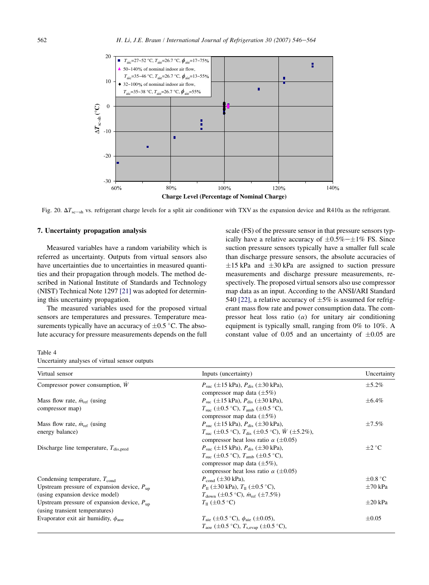<span id="page-16-0"></span>

Fig. 20.  $\Delta T_{\text{sc-sh}}$  vs. refrigerant charge levels for a split air conditioner with TXV as the expansion device and R410a as the refrigerant.

## 7. Uncertainty propagation analysis

Measured variables have a random variability which is referred as uncertainty. Outputs from virtual sensors also have uncertainties due to uncertainties in measured quantities and their propagation through models. The method described in National Institute of Standards and Technology (NIST) Technical Note 1297 [\[21\]](#page-18-0) was adopted for determining this uncertainty propagation.

The measured variables used for the proposed virtual sensors are temperatures and pressures. Temperature measurements typically have an accuracy of  $\pm 0.5$  °C. The absolute accuracy for pressure measurements depends on the full scale (FS) of the pressure sensor in that pressure sensors typically have a relative accuracy of  $\pm 0.5\% - \pm 1\%$  FS. Since suction pressure sensors typically have a smaller full scale than discharge pressure sensors, the absolute accuracies of  $\pm 15$  kPa and  $\pm 30$  kPa are assigned to suction pressure measurements and discharge pressure measurements, respectively. The proposed virtual sensors also use compressor map data as an input. According to the ANSI/ARI Standard 540 [\[22\]](#page-18-0), a relative accuracy of  $\pm 5\%$  is assumed for refrigerant mass flow rate and power consumption data. The compressor heat loss ratio  $(\alpha)$  for unitary air conditioning equipment is typically small, ranging from 0% to 10%. A constant value of 0.05 and an uncertainty of  $\pm 0.05$  are

Table 4 Uncertainty analyses of virtual sensor outputs

| Virtual sensor                                                                           | Inputs (uncertainty)                                                                                                             | Uncertainty      |
|------------------------------------------------------------------------------------------|----------------------------------------------------------------------------------------------------------------------------------|------------------|
| Compressor power consumption, W                                                          | $P_{\rm suc}$ ( $\pm$ 15 kPa), $P_{\rm dis}$ ( $\pm$ 30 kPa),<br>compressor map data $(\pm 5\%)$                                 | $\pm$ 5.2%       |
| Mass flow rate, $\dot{m}_{ref}$ (using<br>compressor map)                                | $P_{\text{succ}}$ ( $\pm 15$ kPa), $P_{\text{dis}}$ ( $\pm 30$ kPa),<br>$T_{\text{succ}}$ (±0.5 °C), $T_{\text{amb}}$ (±0.5 °C), | $\pm 6.4\%$      |
|                                                                                          | compressor map data $(\pm 5\%)$                                                                                                  |                  |
| Mass flow rate, $\dot{m}_{ref}$ (using                                                   | $P_{\text{suc}}$ (±15 kPa), $P_{\text{dis}}$ (±30 kPa),                                                                          | $\pm 7.5\%$      |
| energy balance)                                                                          | $T_{\text{succ}}$ (±0.5 °C), $T_{\text{dis}}$ (±0.5 °C), $W$ (±5.2%),<br>compressor heat loss ratio $\alpha$ ( $\pm$ 0.05)       |                  |
| Discharge line temperature, $T_{dis, pred}$                                              | $P_{\text{suc}}$ ( $\pm$ 15 kPa), $P_{\text{dis}}$ ( $\pm$ 30 kPa),                                                              | $\pm 2\degree C$ |
|                                                                                          | $T_{\text{succ}}$ (±0.5 °C), $T_{\text{amb}}$ (±0.5 °C),                                                                         |                  |
|                                                                                          | compressor map data $(\pm 5\%)$ ,<br>compressor heat loss ratio $\alpha$ ( $\pm$ 0.05)                                           |                  |
| Condensing temperature, $T_{cond}$                                                       | $P_{\text{cond}} (\pm 30 \text{ kPa})$ ,                                                                                         | $\pm 0.8$ °C     |
| Upstream pressure of expansion device, $P_{\text{un}}$                                   | $P_{\text{II}}$ ( $\pm 30$ kPa), $T_{\text{II}}$ ( $\pm 0.5$ °C),                                                                | $\pm 70$ kPa     |
| (using expansion device model)                                                           | $T_{down}$ ( $\pm 0.5$ °C), $\dot{m}_{ref}$ ( $\pm 7.5\%$ )                                                                      |                  |
| Upstream pressure of expansion device, $P_{\text{un}}$<br>(using transient temperatures) | $T_{\rm H}$ (±0.5 °C)                                                                                                            | $\pm 20$ kPa     |
| Evaporator exit air humidity, $\phi_{\text{aoe}}$                                        | $T_{\text{aie}}$ ( $\pm 0.5$ °C), $\phi_{\text{aie}}$ ( $\pm 0.05$ ),                                                            | $\pm 0.05$       |
|                                                                                          | $T_{\text{aoe}}$ (±0.5 °C), $T_{\text{sevan}}$ (±0.5 °C),                                                                        |                  |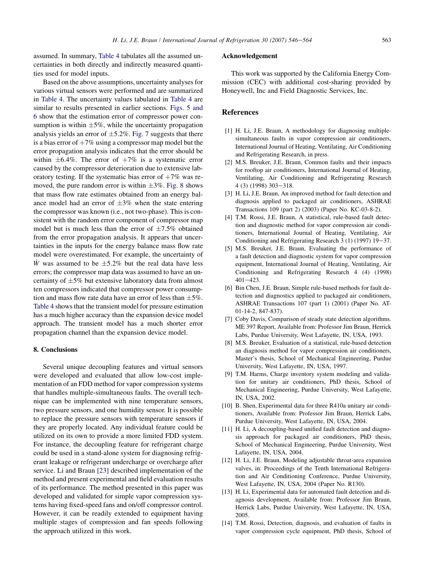<span id="page-17-0"></span>assumed. In summary, [Table 4](#page-16-0) tabulates all the assumed uncertainties in both directly and indirectly measured quantities used for model inputs.

Based on the above assumptions, uncertainty analyses for various virtual sensors were performed and are summarized in [Table 4.](#page-16-0) The uncertainty values tabulated in [Table 4](#page-16-0) are similar to results presented in earlier sections. [Figs. 5 and](#page-6-0) [6](#page-6-0) show that the estimation error of compressor power consumption is within  $\pm 5\%$ , while the uncertainty propagation analysis yields an error of  $\pm$ 5.2%. [Fig. 7](#page-6-0) suggests that there is a bias error of  $+7\%$  using a compressor map model but the error propagation analysis indicates that the error should be within  $\pm 6.4\%$ . The error of  $+7\%$  is a systematic error caused by the compressor deterioration due to extensive laboratory testing. If the systematic bias error of  $+7\%$  was removed, the pure random error is within  $\pm 3\%$ . [Fig. 8](#page-7-0) shows that mass flow rate estimates obtained from an energy balance model had an error of  $\pm 3\%$  when the state entering the compressor was known (i.e., not two-phase). This is consistent with the random error component of compressor map model but is much less than the error of  $\pm 7.5\%$  obtained from the error propagation analysis. It appears that uncertainties in the inputs for the energy balance mass flow rate model were overestimated. For example, the uncertainty of W was assumed to be  $\pm 5.2\%$  but the real data have less errors; the compressor map data was assumed to have an uncertainty of  $\pm 5\%$  but extensive laboratory data from almost ten compressors indicated that compressor power consumption and mass flow rate data have an error of less than  $\pm 5\%$ . [Table 4](#page-16-0) shows that the transient model for pressure estimation has a much higher accuracy than the expansion device model approach. The transient model has a much shorter error propagation channel than the expansion device model.

## 8. Conclusions

Several unique decoupling features and virtual sensors were developed and evaluated that allow low-cost implementation of an FDD method for vapor compression systems that handles multiple-simultaneous faults. The overall technique can be implemented with nine temperature sensors, two pressure sensors, and one humidity sensor. It is possible to replace the pressure sensors with temperature sensors if they are properly located. Any individual feature could be utilized on its own to provide a more limited FDD system. For instance, the decoupling feature for refrigerant charge could be used in a stand-alone system for diagnosing refrigerant leakage or refrigerant undercharge or overcharge after service. Li and Braun [\[23\]](#page-18-0) described implementation of the method and present experimental and field evaluation results of its performance. The method presented in this paper was developed and validated for simple vapor compression systems having fixed-speed fans and on/off compressor control. However, it can be readily extended to equipment having multiple stages of compression and fan speeds following the approach utilized in this work.

#### Acknowledgement

This work was supported by the California Energy Commission (CEC) with additional cost-sharing provided by Honeywell, Inc and Field Diagnostic Services, Inc.

## References

- [1] H. Li, J.E. Braun, A methodology for diagnosing multiplesimultaneous faults in vapor compression air conditioners, International Journal of Heating, Ventilating, Air Conditioning and Refrigerating Research, in press.
- [2] M.S. Breuker, J.E. Braun, Common faults and their impacts for rooftop air conditioners, International Journal of Heating, Ventilating, Air Conditioning and Refrigerating Research  $4(3)(1998)303 - 318.$
- [3] H. Li, J.E. Braun, An improved method for fault detection and diagnosis applied to packaged air conditioners, ASHRAE Transactions 109 (part 2) (2003) (Paper No. KC-03-8-2).
- [4] T.M. Rossi, J.E. Braun, A statistical, rule-based fault detection and diagnostic method for vapor compression air conditioners, International Journal of Heating, Ventilating, Air Conditioning and Refrigerating Research  $3(1)(1997) 19-37$ .
- [5] M.S. Breuker, J.E. Braun, Evaluating the performance of a fault detection and diagnostic system for vapor compression equipment, International Journal of Heating, Ventilating, Air Conditioning and Refrigerating Research 4 (4) (1998)  $401 - 423$ .
- [6] Bin Chen, J.E. Braun, Simple rule-based methods for fault detection and diagnostics applied to packaged air conditioners, ASHRAE Transactions 107 (part 1) (2001) (Paper No. AT-01-14-2, 847-837).
- [7] Coby Davis, Comparison of steady state detection algorithms. ME 397 Report, Available from: Professor Jim Braun, Herrick Labs, Purdue University, West Lafayette, IN, USA, 1993.
- [8] M.S. Breuker, Evaluation of a statistical, rule-based detection an diagnosis method for vapor compression air conditioners, Master's thesis, School of Mechanical Engineering, Purdue University, West Lafayette, IN, USA, 1997.
- [9] T.M. Harms, Charge inventory system modeling and validation for unitary air conditioners, PhD thesis, School of Mechanical Engineering, Purdue University, West Lafayette, IN, USA, 2002.
- [10] B. Shen, Experimental data for three R410a unitary air conditioners, Available from: Professor Jim Braun, Herrick Labs, Purdue University, West Lafayette, IN, USA, 2004.
- [11] H. Li, A decoupling-based unified fault detection and diagnosis approach for packaged air conditioners, PhD thesis, School of Mechanical Engineering, Purdue University, West Lafayette, IN, USA, 2004.
- [12] H. Li, J.E. Braun, Modeling adjustable throat-area expansion valves, in: Proceedings of the Tenth International Refrigeration and Air Conditioning Conference, Purdue University, West Lafayette, IN, USA, 2004 (Paper No. R130).
- [13] H. Li, Experimental data for automated fault detection and diagnosis development, Available from: Professor Jim Braun, Herrick Labs, Purdue University, West Lafayette, IN, USA, 2005.
- [14] T.M. Rossi, Detection, diagnosis, and evaluation of faults in vapor compression cycle equipment, PhD thesis, School of